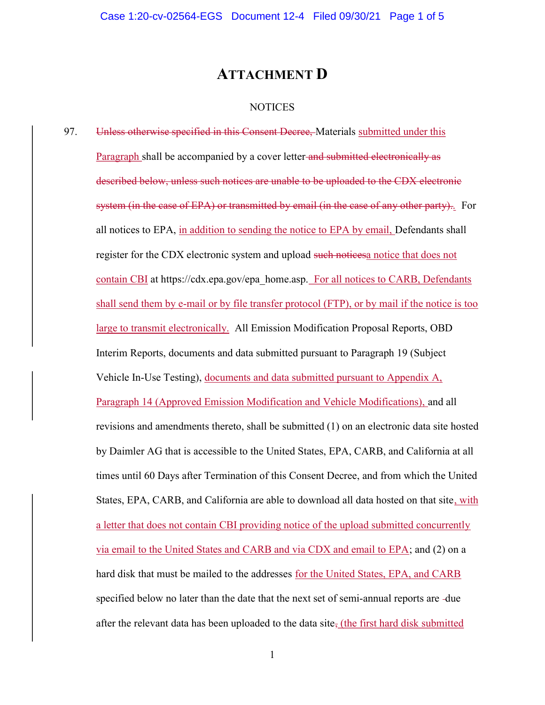## ATTACHMENT D

## **NOTICES**

97. Unless otherwise specified in this Consent Decree, Materials submitted under this Paragraph shall be accompanied by a cover letter and submitted electronically as described below, unless such notices are unable to be uploaded to the CDX electronic system (in the case of EPA) or transmitted by email (in the case of any other party).. For all notices to EPA, in addition to sending the notice to EPA by email, Defendants shall register for the CDX electronic system and upload such noticesa notice that does not contain CBI at https://cdx.epa.gov/epa\_home.asp. For all notices to CARB, Defendants shall send them by e-mail or by file transfer protocol (FTP), or by mail if the notice is too large to transmit electronically. All Emission Modification Proposal Reports, OBD Interim Reports, documents and data submitted pursuant to Paragraph 19 (Subject Vehicle In-Use Testing), documents and data submitted pursuant to Appendix A, Paragraph 14 (Approved Emission Modification and Vehicle Modifications), and all revisions and amendments thereto, shall be submitted (1) on an electronic data site hosted by Daimler AG that is accessible to the United States, EPA, CARB, and California at all times until 60 Days after Termination of this Consent Decree, and from which the United States, EPA, CARB, and California are able to download all data hosted on that site, with a letter that does not contain CBI providing notice of the upload submitted concurrently via email to the United States and CARB and via CDX and email to EPA; and (2) on a hard disk that must be mailed to the addresses for the United States, EPA, and CARB specified below no later than the date that the next set of semi-annual reports are -due after the relevant data has been uploaded to the data site, (the first hard disk submitted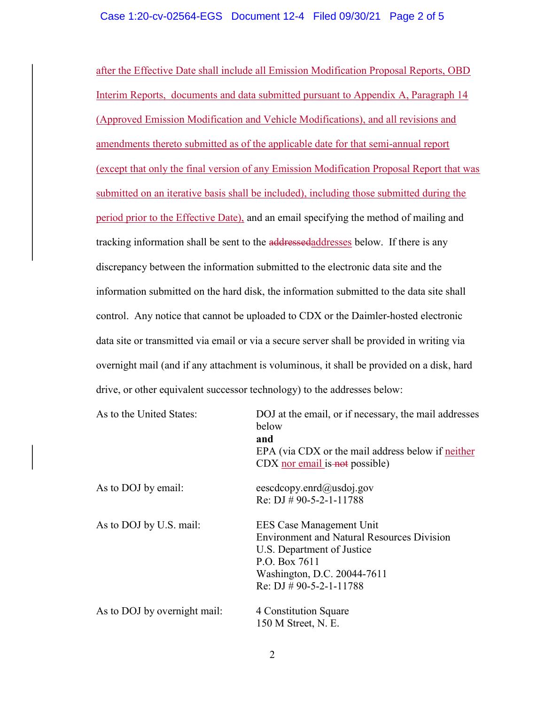## Case 1:20-cv-02564-EGS Document 12-4 Filed 09/30/21 Page 2 of 5

after the Effective Date shall include all Emission Modification Proposal Reports, OBD Interim Reports, documents and data submitted pursuant to Appendix A, Paragraph 14 (Approved Emission Modification and Vehicle Modifications), and all revisions and amendments thereto submitted as of the applicable date for that semi-annual report (except that only the final version of any Emission Modification Proposal Report that was submitted on an iterative basis shall be included), including those submitted during the period prior to the Effective Date), and an email specifying the method of mailing and tracking information shall be sent to the addressedaddresses below. If there is any discrepancy between the information submitted to the electronic data site and the information submitted on the hard disk, the information submitted to the data site shall control. Any notice that cannot be uploaded to CDX or the Daimler-hosted electronic data site or transmitted via email or via a secure server shall be provided in writing via overnight mail (and if any attachment is voluminous, it shall be provided on a disk, hard drive, or other equivalent successor technology) to the addresses below:

| As to the United States:     | DOJ at the email, or if necessary, the mail addresses<br>below<br>and<br>EPA (via CDX or the mail address below if neither<br>$CDX$ nor email is not possible)                            |
|------------------------------|-------------------------------------------------------------------------------------------------------------------------------------------------------------------------------------------|
| As to DOJ by email:          | eescdcopy.enrd $(a)$ usdoj.gov<br>Re: DJ # 90-5-2-1-11788                                                                                                                                 |
| As to DOJ by U.S. mail:      | EES Case Management Unit<br><b>Environment and Natural Resources Division</b><br>U.S. Department of Justice<br>P.O. Box 7611<br>Washington, D.C. 20044-7611<br>Re: DJ $\#$ 90-5-2-1-11788 |
| As to DOJ by overnight mail: | 4 Constitution Square<br>150 M Street, N. E.                                                                                                                                              |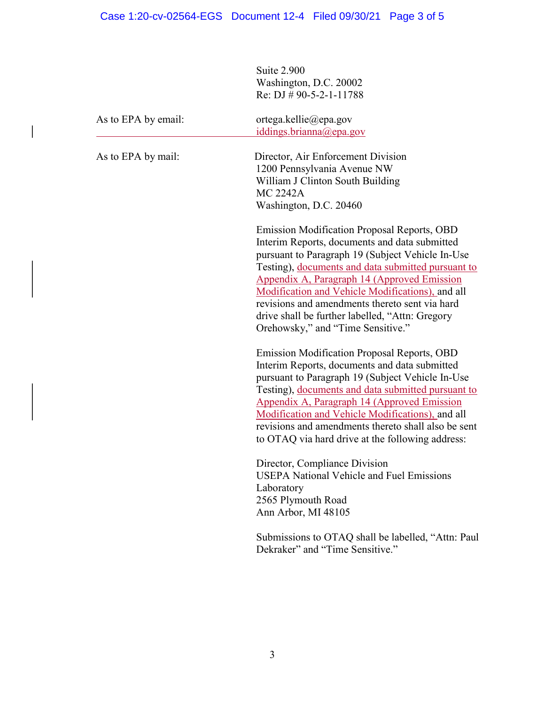Suite 2.900 Washington, D.C. 20002 Re: DJ  $\#$  90-5-2-1-11788

| As to EPA by email: | ortega.kellie@epa.gov<br>iddings.brianna@epa.gov                                                                                                                                                                                                                                                                                                                                                                                                    |
|---------------------|-----------------------------------------------------------------------------------------------------------------------------------------------------------------------------------------------------------------------------------------------------------------------------------------------------------------------------------------------------------------------------------------------------------------------------------------------------|
| As to EPA by mail:  | Director, Air Enforcement Division<br>1200 Pennsylvania Avenue NW<br>William J Clinton South Building<br><b>MC 2242A</b><br>Washington, D.C. 20460                                                                                                                                                                                                                                                                                                  |
|                     | Emission Modification Proposal Reports, OBD<br>Interim Reports, documents and data submitted<br>pursuant to Paragraph 19 (Subject Vehicle In-Use<br>Testing), documents and data submitted pursuant to<br>Appendix A, Paragraph 14 (Approved Emission<br>Modification and Vehicle Modifications), and all<br>revisions and amendments thereto sent via hard<br>drive shall be further labelled, "Attn: Gregory<br>Orehowsky," and "Time Sensitive." |
|                     | Emission Modification Proposal Reports, OBD<br>Interim Reports, documents and data submitted<br>pursuant to Paragraph 19 (Subject Vehicle In-Use<br>Testing), documents and data submitted pursuant to<br>Appendix A, Paragraph 14 (Approved Emission<br>Modification and Vehicle Modifications), and all<br>revisions and amendments thereto shall also be sent<br>to OTAQ via hard drive at the following address:                                |
|                     | Director, Compliance Division<br><b>USEPA National Vehicle and Fuel Emissions</b><br>Laboratory<br>2565 Plymouth Road<br>Ann Arbor, MI 48105                                                                                                                                                                                                                                                                                                        |
|                     | Submissions to OTAQ shall be labelled, "Attn: Paul<br>Dekraker" and "Time Sensitive."                                                                                                                                                                                                                                                                                                                                                               |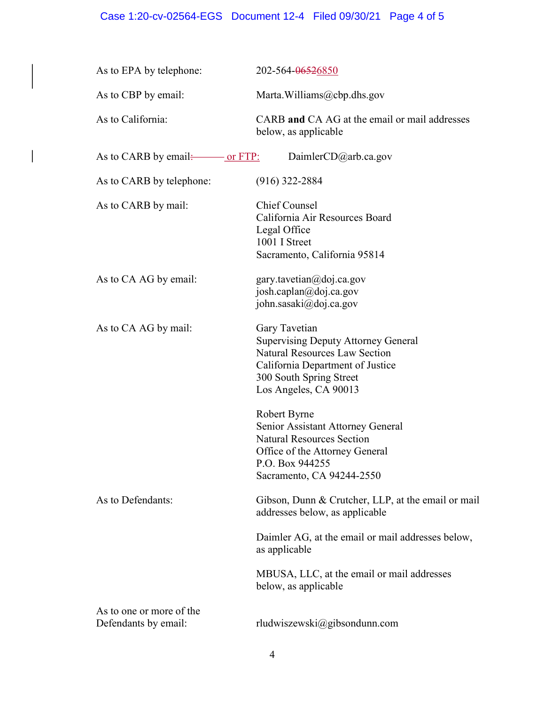## Case 1:20-cv-02564-EGS Document 12-4 Filed 09/30/21 Page 4 of 5

 $\overline{\phantom{a}}$ 

| As to EPA by telephone:                          | 202-564-06526850                                                                                                                                                                            |
|--------------------------------------------------|---------------------------------------------------------------------------------------------------------------------------------------------------------------------------------------------|
| As to CBP by email:                              | Marta. Williams@cbp.dhs.gov                                                                                                                                                                 |
| As to California:                                | CARB and CA AG at the email or mail addresses<br>below, as applicable                                                                                                                       |
| As to CARB by email: <u>________ or FTP:</u>     | Daimler $CD$ @arb.ca.gov                                                                                                                                                                    |
| As to CARB by telephone:                         | $(916)$ 322-2884                                                                                                                                                                            |
| As to CARB by mail:                              | <b>Chief Counsel</b><br>California Air Resources Board<br>Legal Office<br>1001 I Street<br>Sacramento, California 95814                                                                     |
| As to CA AG by email:                            | gary.tavetian@doj.ca.gov<br>josh.caplan@doj.ca.gov<br>john.sasaki@doj.ca.gov                                                                                                                |
| As to CA AG by mail:                             | Gary Tavetian<br><b>Supervising Deputy Attorney General</b><br><b>Natural Resources Law Section</b><br>California Department of Justice<br>300 South Spring Street<br>Los Angeles, CA 90013 |
|                                                  | Robert Byrne<br>Senior Assistant Attorney General<br><b>Natural Resources Section</b><br>Office of the Attorney General<br>P.O. Box 944255<br>Sacramento, CA 94244-2550                     |
| As to Defendants:                                | Gibson, Dunn & Crutcher, LLP, at the email or mail<br>addresses below, as applicable                                                                                                        |
|                                                  | Daimler AG, at the email or mail addresses below,<br>as applicable                                                                                                                          |
|                                                  | MBUSA, LLC, at the email or mail addresses<br>below, as applicable                                                                                                                          |
| As to one or more of the<br>Defendants by email: | rludwiszewski@gibsondunn.com                                                                                                                                                                |